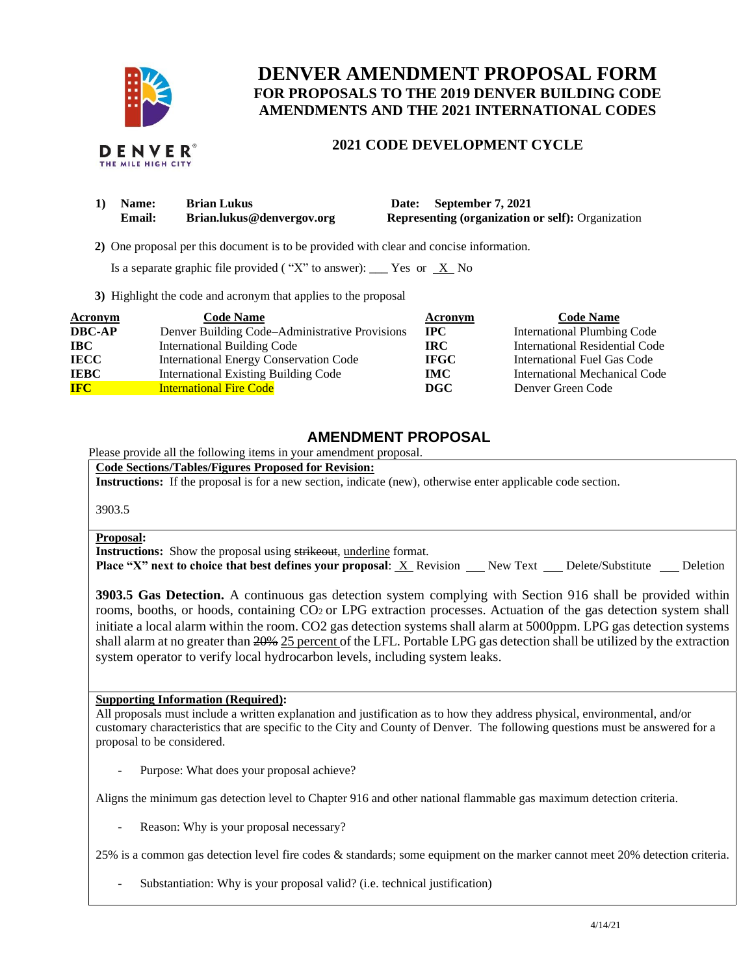

# **DENVER AMENDMENT PROPOSAL FORM FOR PROPOSALS TO THE 2019 DENVER BUILDING CODE AMENDMENTS AND THE 2021 INTERNATIONAL CODES**

## **2021 CODE DEVELOPMENT CYCLE**

| 1) Name:      | <b>Brian Lukus</b>        | Date: September 7, 2021                                  |
|---------------|---------------------------|----------------------------------------------------------|
| <b>Email:</b> | Brian.lukus@denvergov.org | <b>Representing (organization or self): Organization</b> |

 **2)** One proposal per this document is to be provided with clear and concise information.

Is a separate graphic file provided ("X" to answer): \_\_\_\_ Yes or  $X$  No

**3)** Highlight the code and acronym that applies to the proposal

| Acronym       | <b>Code Name</b>                               | Acronym      | <b>Code Name</b>                   |
|---------------|------------------------------------------------|--------------|------------------------------------|
| <b>DBC-AP</b> | Denver Building Code-Administrative Provisions | $_{\rm IPC}$ | <b>International Plumbing Code</b> |
| <b>IBC</b>    | <b>International Building Code</b>             | IRC-         | International Residential Code     |
| <b>IECC</b>   | International Energy Conservation Code         | <b>IFGC</b>  | International Fuel Gas Code        |
| <b>IEBC</b>   | <b>International Existing Building Code</b>    | <b>IMC</b>   | International Mechanical Code      |
| <b>IFC</b>    | <b>International Fire Code</b>                 | DGC          | Denver Green Code                  |

### **AMENDMENT PROPOSAL**

Please provide all the following items in your amendment proposal.

**Code Sections/Tables/Figures Proposed for Revision:**

**Instructions:** If the proposal is for a new section, indicate (new), otherwise enter applicable code section.

3903.5

#### **Proposal:**

**Instructions:** Show the proposal using strikeout, underline format.

**Place "X" next to choice that best defines your proposal:** X Revision New Text Delete/Substitute Deletion

**3903.5 Gas Detection.** A continuous gas detection system complying with Section 916 shall be provided within rooms, booths, or hoods, containing CO2 or LPG extraction processes. Actuation of the gas detection system shall initiate a local alarm within the room. CO2 gas detection systems shall alarm at 5000ppm. LPG gas detection systems shall alarm at no greater than 20% 25 percent of the LFL. Portable LPG gas detection shall be utilized by the extraction system operator to verify local hydrocarbon levels, including system leaks.

#### **Supporting Information (Required):**

All proposals must include a written explanation and justification as to how they address physical, environmental, and/or customary characteristics that are specific to the City and County of Denver. The following questions must be answered for a proposal to be considered.

Purpose: What does your proposal achieve?

Aligns the minimum gas detection level to Chapter 916 and other national flammable gas maximum detection criteria.

Reason: Why is your proposal necessary?

25% is a common gas detection level fire codes & standards; some equipment on the marker cannot meet 20% detection criteria.

Substantiation: Why is your proposal valid? (i.e. technical justification)